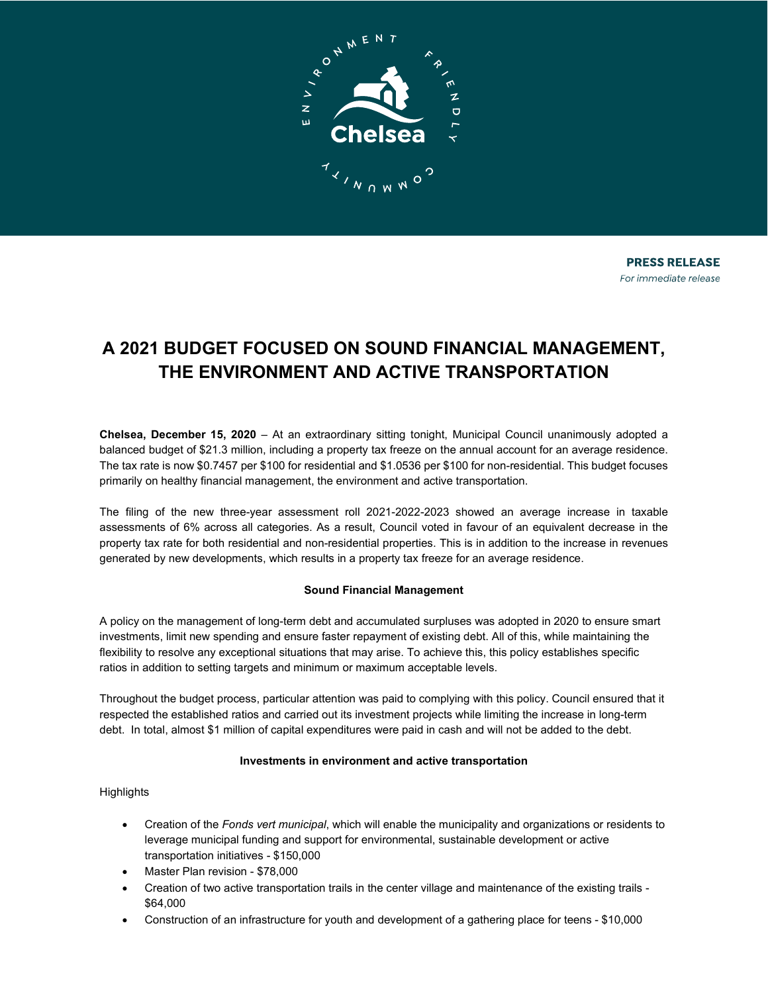

# **A 2021 BUDGET FOCUSED ON SOUND FINANCIAL MANAGEMENT, THE ENVIRONMENT AND ACTIVE TRANSPORTATION**

**Chelsea, December 15, 2020** – At an extraordinary sitting tonight, Municipal Council unanimously adopted a balanced budget of \$21.3 million, including a property tax freeze on the annual account for an average residence. The tax rate is now \$0.7457 per \$100 for residential and \$1.0536 per \$100 for non-residential. This budget focuses primarily on healthy financial management, the environment and active transportation.

The filing of the new three-year assessment roll 2021-2022-2023 showed an average increase in taxable assessments of 6% across all categories. As a result, Council voted in favour of an equivalent decrease in the property tax rate for both residential and non-residential properties. This is in addition to the increase in revenues generated by new developments, which results in a property tax freeze for an average residence.

## **Sound Financial Management**

A policy on the management of long-term debt and accumulated surpluses was adopted in 2020 to ensure smart investments, limit new spending and ensure faster repayment of existing debt. All of this, while maintaining the flexibility to resolve any exceptional situations that may arise. To achieve this, this policy establishes specific ratios in addition to setting targets and minimum or maximum acceptable levels.

Throughout the budget process, particular attention was paid to complying with this policy. Council ensured that it respected the established ratios and carried out its investment projects while limiting the increase in long-term debt. In total, almost \$1 million of capital expenditures were paid in cash and will not be added to the debt.

### **Investments in environment and active transportation**

### **Highlights**

- Creation of the *Fonds vert municipal*, which will enable the municipality and organizations or residents to leverage municipal funding and support for environmental, sustainable development or active transportation initiatives - \$150,000
- Master Plan revision \$78,000
- Creation of two active transportation trails in the center village and maintenance of the existing trails \$64,000
- Construction of an infrastructure for youth and development of a gathering place for teens \$10,000